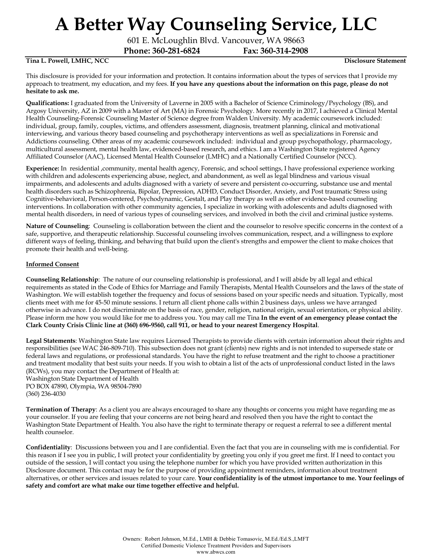601 E. McLoughlin Blvd. Vancouver, WA 98663

**Phone: 360-281-6824 Fax: 360-314-2908**

### **Tina L. Powell, LMHC, NCC Disclosure Statement**

This disclosure is provided for your information and protection. It contains information about the types of services that I provide my approach to treatment, my education, and my fees. **If you have any questions about the information on this page, please do not hesitate to ask me.**

**Qualifications:** I graduated from the University of Laverne in 2005 with a Bachelor of Science Criminology/Psychology (BS), and Argosy University, AZ in 2009 with a Master of Art (MA) in Forensic Psychology. More recently in 2017, I achieved a Clinical Mental Health Counseling-Forensic Counseling Master of Science degree from Walden University. My academic coursework included: individual, group, family, couples, victims, and offenders assessment, diagnosis, treatment planning, clinical and motivational interviewing, and various theory based counseling and psychotherapy interventions as well as specializations in Forensic and Addictions counseling. Other areas of my academic coursework included: individual and group psychopathology, pharmacology, multicultural assessment, mental health law, evidenced-based research, and ethics. I am a Washington State registered Agency Affiliated Counselor (AAC), Licensed Mental Health Counselor (LMHC) and a Nationally Certified Counselor (NCC).

**Experience:** In residential ,community, mental health agency, Forensic, and school settings, I have professional experience working with children and adolescents experiencing abuse, neglect, and abandonment, as well as legal blindness and various visual impairments, and adolescents and adults diagnosed with a variety of severe and persistent co-occurring, substance use and mental health disorders such as Schizophrenia, Bipolar, Depression, ADHD, Conduct Disorder, Anxiety, and Post traumatic Stress using Cognitive-behavioral, Person-centered, Psychodynamic, Gestalt, and Play therapy as well as other evidence-based counseling interventions. In collaboration with other community agencies, I specialize in working with adolescents and adults diagnosed with mental health disorders, in need of various types of counseling services, and involved in both the civil and criminal justice systems.

**Nature of Counseling**: Counseling is collaboration between the client and the counselor to resolve specific concerns in the context of a safe, supportive, and therapeutic relationship. Successful counseling involves communication, respect, and a willingness to explore different ways of feeling, thinking, and behaving that build upon the client's strengths and empower the client to make choices that promote their health and well-being.

### **Informed Consent**

**Counseling Relationship**: The nature of our counseling relationship is professional, and I will abide by all legal and ethical requirements as stated in the Code of Ethics for Marriage and Family Therapists, Mental Health Counselors and the laws of the state of Washington. We will establish together the frequency and focus of sessions based on your specific needs and situation. Typically, most clients meet with me for 45-50 minute sessions. I return all client phone calls within 2 business days, unless we have arranged otherwise in advance. I do not discriminate on the basis of race, gender, religion, national origin, sexual orientation, or physical ability. Please inform me how you would like for me to address you. You may call me Tina **In the event of an emergency please contact the Clark County Crisis Clinic line at (360) 696-9560, call 911, or head to your nearest Emergency Hospital**.

**Legal Statements**: Washington State law requires Licensed Therapists to provide clients with certain information about their rights and responsibilities (see WAC 246-809-710). This subsection does not grant (clients) new rights and is not intended to supersede state or federal laws and regulations, or professional standards. You have the right to refuse treatment and the right to choose a practitioner and treatment modality that best suits your needs. If you wish to obtain a list of the acts of unprofessional conduct listed in the laws (RCWs), you may contact the Department of Health at: Washington State Department of Health

PO BOX 47890, Olympia, WA 98504-7890 (360) 236-4030

**Termination of Therapy**: As a client you are always encouraged to share any thoughts or concerns you might have regarding me as your counselor. If you are feeling that your concerns are not being heard and resolved then you have the right to contact the Washington State Department of Health. You also have the right to terminate therapy or request a referral to see a different mental health counselor.

**Confidentiality**: Discussions between you and I are confidential. Even the fact that you are in counseling with me is confidential. For this reason if I see you in public, I will protect your confidentiality by greeting you only if you greet me first. If I need to contact you outside of the session, I will contact you using the telephone number for which you have provided written authorization in this Disclosure document. This contact may be for the purpose of providing appointment reminders, information about treatment alternatives, or other services and issues related to your care. **Your confidentiality is of the utmost importance to me. Your feelings of safety and comfort are what make our time together effective and helpful.**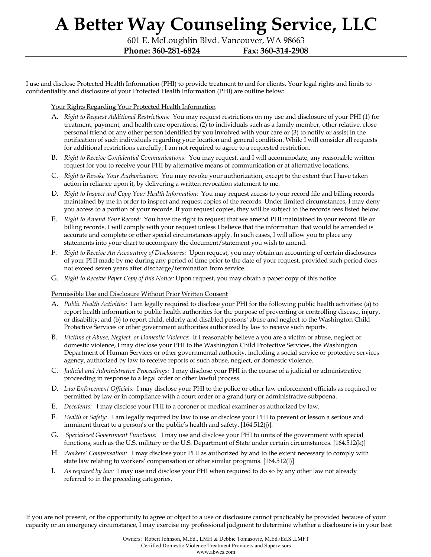601 E. McLoughlin Blvd. Vancouver, WA 98663 **Phone: 360-281-6824 Fax: 360-314-2908**

I use and disclose Protected Health Information (PHI) to provide treatment to and for clients. Your legal rights and limits to confidentiality and disclosure of your Protected Health Information (PHI) are outline below:

Your Rights Regarding Your Protected Health Information

- A. *Right to Request Additional Restrictions:* You may request restrictions on my use and disclosure of your PHI (1) for treatment, payment, and health care operations, (2) to individuals such as a family member, other relative, close personal friend or any other person identified by you involved with your care or (3) to notify or assist in the notification of such individuals regarding your location and general condition. While I will consider all requests for additional restrictions carefully, I am not required to agree to a requested restriction.
- B. *Right to Receive Confidential Communications:* You may request, and I will accommodate, any reasonable written request for you to receive your PHI by alternative means of communication or at alternative locations.
- C. *Right to Revoke Your Authorization:* You may revoke your authorization, except to the extent that I have taken action in reliance upon it, by delivering a written revocation statement to me.
- D. *Right to Inspect and Copy Your Health Information:* You may request access to your record file and billing records maintained by me in order to inspect and request copies of the records. Under limited circumstances, I may deny you access to a portion of your records. If you request copies, they will be subject to the records fees listed below.
- E. *Right to Amend Your Record:* You have the right to request that we amend PHI maintained in your record file or billing records. I will comply with your request unless I believe that the information that would be amended is accurate and complete or other special circumstances apply. In such cases, I will allow you to place any statements into your chart to accompany the document/statement you wish to amend.
- F. *Right to Receive An Accounting of Disclosures:* Upon request, you may obtain an accounting of certain disclosures of your PHI made by me during any period of time prior to the date of your request, provided such period does not exceed seven years after discharge/termination from service.
- G. *Right to Receive Paper Copy of this Notice:* Upon request, you may obtain a paper copy of this notice.

Permissible Use and Disclosure Without Prior Written Consent

- A. *Public Health Activities:* I am legally required to disclose your PHI for the following public health activities: (a) to report health information to public health authorities for the purpose of preventing or controlling disease, injury, or disability; and (b) to report child, elderly and disabled persons' abuse and neglect to the Washington Child Protective Services or other government authorities authorized by law to receive such reports.
- B. *Victims of Abuse, Neglect, or Domestic Violence*: If I reasonably believe a you are a victim of abuse, neglect or domestic violence, I may disclose your PHI to the Washington Child Protective Services, the Washington Department of Human Services or other governmental authority, including a social service or protective services agency, authorized by law to receive reports of such abuse, neglect, or domestic violence.
- C. *Judicial and Administrative Proceedings:* I may disclose your PHI in the course of a judicial or administrative proceeding in response to a legal order or other lawful process.
- D. *Law Enforcement Officials:* I may disclose your PHI to the police or other law enforcement officials as required or permitted by law or in compliance with a court order or a grand jury or administrative subpoena.
- E. *Decedents:* I may disclose your PHI to a coroner or medical examiner as authorized by law.
- F. *Health or Safety:* I am legally required by law to use or disclose your PHI to prevent or lesson a serious and imminent threat to a person's or the public's health and safety. [164.512(j)].
- G. *Specialized Government Functions:* I may use and disclose your PHI to units of the government with special functions, such as the U.S. military or the U.S. Department of State under certain circumstances. [164.512(k)]
- H. *Workers' Compensation:* I may disclose your PHI as authorized by and to the extent necessary to comply with state law relating to workers' compensation or other similar programs. [164.512(l)]
- I. *As required by law:* I may use and disclose your PHI when required to do so by any other law not already referred to in the preceding categories.

If you are not present, or the opportunity to agree or object to a use or disclosure cannot practicably be provided because of your capacity or an emergency circumstance, I may exercise my professional judgment to determine whether a disclosure is in your best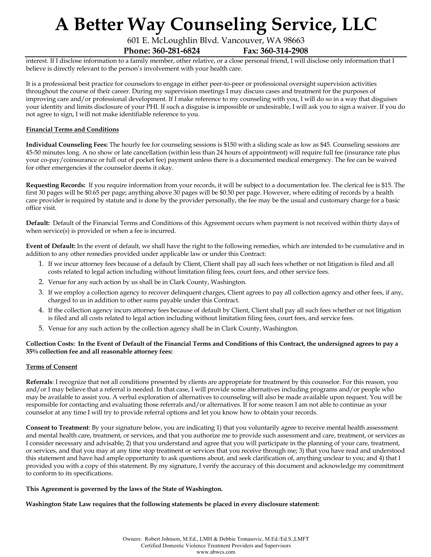601 E. McLoughlin Blvd. Vancouver, WA 98663

**Phone: 360-281-6824 Fax: 360-314-2908**

interest. If I disclose information to a family member, other relative, or a close personal friend, I will disclose only information that I believe is directly relevant to the person's involvement with your health care.

It is a professional best practice for counselors to engage in either peer-to-peer or professional oversight supervision activities throughout the course of their career. During my supervision meetings I may discuss cases and treatment for the purposes of improving care and/or professional development. If I make reference to my counseling with you, I will do so in a way that disguises your identity and limits disclosure of your PHI. If such a disguise is impossible or undesirable, I will ask you to sign a waiver. If you do not agree to sign, I will not make identifiable reference to you.

## **Financial Terms and Conditions**

**Individual Counseling Fees:** The hourly fee for counseling sessions is \$150 with a sliding scale as low as \$45. Counseling sessions are 45-50 minutes long. A no show or late cancellation (within less than 24 hours of appointment) will require full fee (insurance rate plus your co-pay/coinsurance or full out of pocket fee) payment unless there is a documented medical emergency. The fee can be waived for other emergencies if the counselor deems it okay.

**Requesting Records:** If you require information from your records, it will be subject to a documentation fee. The clerical fee is \$15. The first 30 pages will be \$0.65 per page; anything above 30 pages will be \$0.50 per page. However, where editing of records by a health care provider is required by statute and is done by the provider personally, the fee may be the usual and customary charge for a basic office visit.

**Default:** Default of the Financial Terms and Conditions of this Agreement occurs when payment is not received within thirty days of when service(s) is provided or when a fee is incurred.

**Event of Default:** In the event of default, we shall have the right to the following remedies, which are intended to be cumulative and in addition to any other remedies provided under applicable law or under this Contract:

- 1. If we incur attorney fees because of a default by Client, Client shall pay all such fees whether or not litigation is filed and all costs related to legal action including without limitation filing fees, court fees, and other service fees.
- 2. Venue for any such action by us shall be in Clark County, Washington.
- 3. If we employ a collection agency to recover delinquent charges, Client agrees to pay all collection agency and other fees, if any, charged to us in addition to other sums payable under this Contract.
- 4. If the collection agency incurs attorney fees because of default by Client, Client shall pay all such fees whether or not litigation is filed and all costs related to legal action including without limitation filing fees, court fees, and service fees.
- 5. Venue for any such action by the collection agency shall be in Clark County, Washington.

### **Collection Costs: In the Event of Default of the Financial Terms and Conditions of this Contract, the undersigned agrees to pay a 35% collection fee and all reasonable attorney fees:**

### **Terms of Consent**

**Referrals**: I recognize that not all conditions presented by clients are appropriate for treatment by this counselor. For this reason, you and/or I may believe that a referral is needed. In that case, I will provide some alternatives including programs and/or people who may be available to assist you. A verbal exploration of alternatives to counseling will also be made available upon request. You will be responsible for contacting and evaluating those referrals and/or alternatives. If for some reason I am not able to continue as your counselor at any time I will try to provide referral options and let you know how to obtain your records.

**Consent to Treatment**: By your signature below, you are indicating 1) that you voluntarily agree to receive mental health assessment and mental health care, treatment, or services, and that you authorize me to provide such assessment and care, treatment, or services as I consider necessary and advisable; 2) that you understand and agree that you will participate in the planning of your care, treatment, or services, and that you may at any time stop treatment or services that you receive through me; 3) that you have read and understood this statement and have had ample opportunity to ask questions about, and seek clarification of, anything unclear to you; and 4) that I provided you with a copy of this statement. By my signature, I verify the accuracy of this document and acknowledge my commitment to conform to its specifications.

#### **This Agreement is governed by the laws of the State of Washington.**

**Washington State Law requires that the following statements be placed in every disclosure statement:**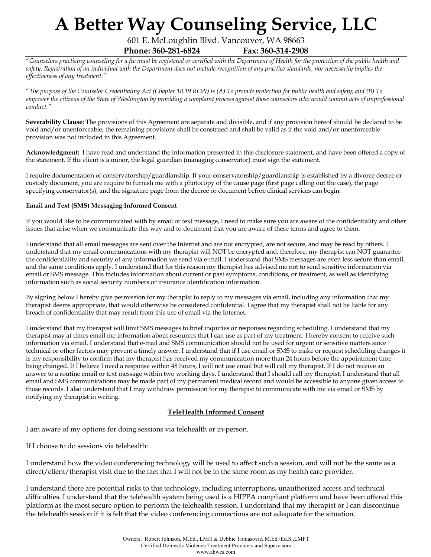601 E. McLoughlin Blvd. Vancouver, WA 98663

**Phone: 360-281-6824 Fax: 360-314-2908**

"*Counselors practicing counseling for a fee must be registered or certified with the Department of Health for the protection of the public health and safety. Registration of an individual with the Department does not include recognition of any practice standards, nor necessarily implies the effectiveness of any treatment."* 

"*The purpose of the Counselor Credentialing Act (Chapter 18.19 RCW) is (A) To provide protection for public health and safety; and (B) To empower the citizens of the State of Washington by providing a complaint process against those counselors who would commit acts of unprofessional conduct."* 

**Severability Clause:** The provisions of this Agreement are separate and divisible, and if any provision hereof should be declared to be void and/or unenforceable, the remaining provisions shall be construed and shall be valid as if the void and/or unenforceable provision was not included in this Agreement.

**Acknowledgment:** I have read and understand the information presented in this disclosure statement, and have been offered a copy of the statement. If the client is a minor, the legal guardian (managing conservator) must sign the statement.

I require documentation of conservatorship/guardianship. If your conservatorship/guardianship is established by a divorce decree or custody document, you are require to furnish me with a photocopy of the cause page (first page calling out the case), the page specifying conservator(s), and the signature page from the decree or document before clinical services can begin.

### **Email and Text (SMS) Messaging Informed Consent**

If you would like to be communicated with by email or text message, I need to make sure you are aware of the confidentiality and other issues that arise when we communicate this way and to document that you are aware of these terms and agree to them.

I understand that all email messages are sent over the Internet and are not encrypted, are not secure, and may be read by others. I understand that my email communications with my therapist will NOT be encrypted and, therefore, my therapist can NOT guarantee the confidentiality and security of any information we send via e-mail. I understand that SMS messages are even less secure than email, and the same conditions apply. I understand that for this reason my therapist has advised me not to send sensitive information via email or SMS message. This includes information about current or past symptoms, conditions, or treatment, as well as identifying information such as social security numbers or insurance identification information.

By signing below I hereby give permission for my therapist to reply to my messages via email, including any information that my therapist deems appropriate, that would otherwise be considered confidential. I agree that my therapist shall not be liable for any breach of confidentiality that may result from this use of email via the Internet.

I understand that my therapist will limit SMS messages to brief inquiries or responses regarding scheduling. I understand that my therapist may at times email me information about resources that I can use as part of my treatment. I hereby consent to receive such information via email. I understand that e-mail and SMS communication should not be used for urgent or sensitive matters since technical or other factors may prevent a timely answer. I understand that if I use email or SMS to make or request scheduling changes it is my responsibility to confirm that my therapist has received my communication more than 24 hours before the appointment time being changed. If I believe I need a response within 48 hours, I will not use email but will call my therapist. If I do not receive an answer to a routine email or text message within two working days, I understand that I should call my therapist. I understand that all email and SMS communications may be made part of my permanent medical record and would be accessible to anyone given access to those records. I also understand that I may withdraw permission for my therapist to communicate with me via email or SMS by notifying my therapist in writing.

## **TeleHealth Informed Consent**

I am aware of my options for doing sessions via telehealth or in-person.

If I choose to do sessions via telehealth:

I understand how the video conferencing technology will be used to affect such a session, and will not be the same as a direct/client/therapist visit due to the fact that I will not be in the same room as my health care provider.

I understand there are potential risks to this technology, including interruptions, unauthorized access and technical difficulties. I understand that the telehealth system being used is a HIPPA compliant platform and have been offered this platform as the most secure option to perform the telehealth session. I understand that my therapist or I can discontinue the telehealth session if it is felt that the video conferencing connections are not adequate for the situation.